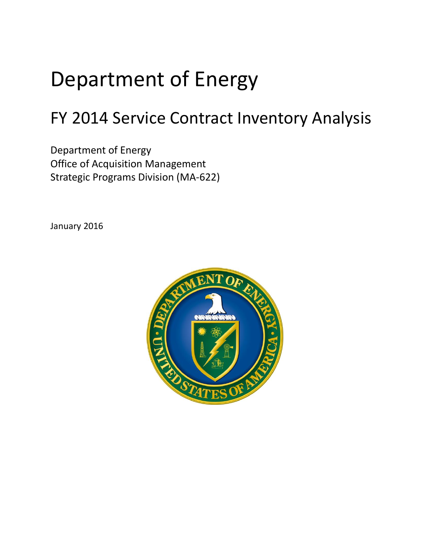# Department of Energy

# FY 2014 Service Contract Inventory Analysis

Department of Energy Office of Acquisition Management Strategic Programs Division (MA-622)

January 2016

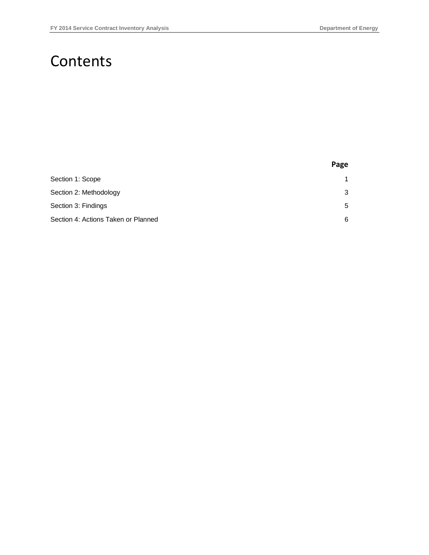### Contents

|                                     | Page |
|-------------------------------------|------|
| Section 1: Scope                    | 1    |
| Section 2: Methodology              | 3    |
| Section 3: Findings                 | 5    |
| Section 4: Actions Taken or Planned | 6    |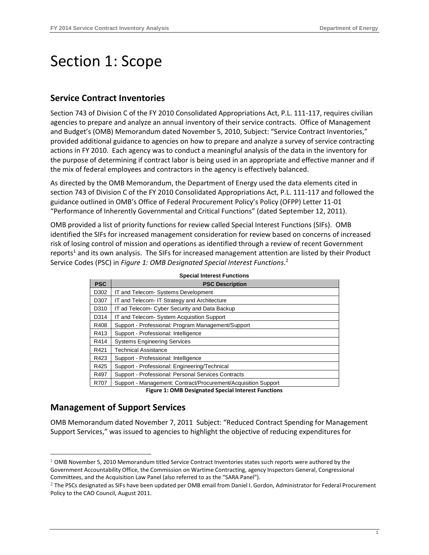## <span id="page-2-0"></span>Section 1: Scope

#### **Service Contract Inventories**

Section 743 of Division C of the FY 2010 Consolidated Appropriations Act, P.L. 111-117, requires civilian agencies to prepare and analyze an annual inventory of their service contracts. Office of Management and Budget's (OMB) Memorandum dated November 5, 2010, Subject: "Service Contract Inventories," provided additional guidance to agencies on how to prepare and analyze a survey of service contracting actions in FY 2010. Each agency was to conduct a meaningful analysis of the data in the inventory for the purpose of determining if contract labor is being used in an appropriate and effective manner and if the mix of federal employees and contractors in the agency is effectively balanced.

As directed by the OMB Memorandum, the Department of Energy used the data elements cited in section 743 of Division C of the FY 2010 Consolidated Appropriations Act, P.L. 111-117 and followed the guidance outlined in OMB's Office of Federal Procurement Policy's Policy (OFPP) Letter 11-01 "Performance of Inherently Governmental and Critical Functions" (dated September 12, 2011).

OMB provided a list of priority functions for review called Special Interest Functions (SIFs). OMB identified the SIFs for increased management consideration for review based on concerns of increased risk of losing control of mission and operations as identified through a review of recent Government reports<sup>1</sup> and its own analysis. The SIFs for increased management attention are listed by their Product Service Codes (PSC) in *Figure 1: OMB Designated Special Interest Functions*. 2

| <b>PSC</b> | <b>PSC Description</b>                                         |
|------------|----------------------------------------------------------------|
| D302       | IT and Telecom- Systems Development                            |
| D307       | IT and Telecom- IT Strategy and Architecture                   |
| D310       | IT ad Telecom- Cyber Security and Data Backup                  |
| D314       | IT and Telecom- System Acquisition Support                     |
| R408       | Support - Professional: Program Management/Support             |
| R413       | Support - Professional: Intelligence                           |
| R414       | <b>Systems Engineering Services</b>                            |
| R421       | <b>Technical Assistance</b>                                    |
| R423       | Support - Professional: Intelligence                           |
| R425       | Support - Professional: Engineering/Technical                  |
| R497       | Support - Professional: Personal Services Contracts            |
| R707       | Support - Management: Contract/Procurement/Acquisition Support |

**Figure 1: OMB Designated Special Interest Functions**

### **Management of Support Services**

<u>.</u>

OMB Memorandum dated November 7, 2011 Subject: "Reduced Contract Spending for Management Support Services," was issued to agencies to highlight the objective of reducing expenditures for

 $1$  OMB November 5, 2010 Memorandum titled Service Contract Inventories states such reports were authored by the Government Accountability Office, the Commission on Wartime Contracting, agency Inspectors General, Congressional Committees, and the Acquisition Law Panel (also referred to as the "SARA Panel").

<sup>&</sup>lt;sup>2</sup> The PSCs designated as SIFs have been updated per OMB email from Daniel I. Gordon, Administrator for Federal Procurement Policy to the CAO Council, August 2011.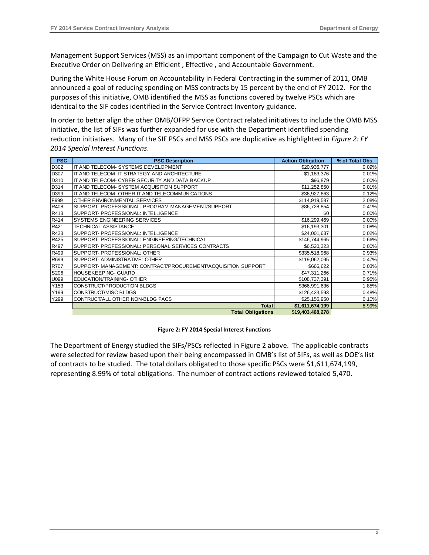Management Support Services (MSS) as an important component of the Campaign to Cut Waste and the Executive Order on Delivering an Efficient , Effective , and Accountable Government.

During the White House Forum on Accountability in Federal Contracting in the summer of 2011, OMB announced a goal of reducing spending on MSS contracts by 15 percent by the end of FY 2012. For the purposes of this initiative, OMB identified the MSS as functions covered by twelve PSCs which are identical to the SIF codes identified in the Service Contract Inventory guidance.

In order to better align the other OMB/OFPP Service Contract related initiatives to include the OMB MSS initiative, the list of SIFs was further expanded for use with the Department identified spending reduction initiatives. Many of the SIF PSCs and MSS PSCs are duplicative as highlighted in *Figure 2: FY 2014 Special Interest Functions*.

| <b>PSC</b> | <b>PSC Description</b>                                        | <b>Action Obligation</b> | % of Total Obs |
|------------|---------------------------------------------------------------|--------------------------|----------------|
| D302       | IT AND TELECOM- SYSTEMS DEVELOPMENT                           | \$20,936,777             | 0.09%          |
| D307       | IT AND TELECOM- IT STRATEGY AND ARCHITECTURE                  | \$1,183,376              | 0.01%          |
| D310       | IT AND TELECOM- CYBER SECURITY AND DATA BACKUP                | \$96,879                 | 0.00%          |
| D314       | IT AND TELECOM- SYSTEM ACQUISITION SUPPORT                    | \$11,252,850             | 0.01%          |
| D399       | IT AND TELECOM- OTHER IT AND TELECOMMUNICATIONS               | \$36,927,663             | 0.12%          |
| F999       | OTHER ENVIRONMENTAL SERVICES                                  | \$114,919,587            | 2.08%          |
| R408       | SUPPORT- PROFESSIONAL: PROGRAM MANAGEMENT/SUPPORT             | \$86,728,854             | 0.41%          |
| R413       | SUPPORT- PROFESSIONAL: INTELLIGENCE                           | \$0                      | 0.00%          |
| R414       | SYSTEMS ENGINEERING SERVICES                                  | \$16,299,469             | 0.00%          |
| R421       | <b>TECHNICAL ASSISTANCE</b>                                   | \$16,193,301             | 0.08%          |
| R423       | SUPPORT- PROFESSIONAL: INTELLIGENCE                           | \$24,001,637             | 0.02%          |
| R425       | SUPPORT- PROFESSIONAL: ENGINEERING/TECHNICAL                  | \$146,744,965            | 0.66%          |
| R497       | SUPPORT- PROFESSIONAL: PERSONAL SERVICES CONTRACTS            | \$6,520,323              | 0.00%          |
| R499       | SUPPORT- PROFESSIONAL: OTHER                                  | \$335,518,968            | 0.93%          |
| R699       | SUPPORT- ADMINISTRATIVE: OTHER                                | \$119,062,095            | 0.47%          |
| R707       | SUPPORT- MANAGEMENT: CONTRACT/PROCUREMENT/ACQUISITION SUPPORT | \$666,622                | 0.03%          |
| S206       | HOUSEKEEPING- GUARD                                           | \$47,311,266             | 0.71%          |
| U099       | EDUCATION/TRAINING- OTHER                                     | \$108,737,391            | 0.95%          |
| Y153       | CONSTRUCT/PRODUCTION BLDGS                                    | \$366,991,636            | 1.85%          |
| Y199       | CONSTRUCT/MISC BLDGS                                          | \$126,423,593            | 0.48%          |
| Y299       | CONTRUCT/ALL OTHER NON-BLDG FACS                              | \$25,156,950             | 0.10%          |
|            | <b>Total</b>                                                  | \$1,611,674,199          | 8.99%          |
|            | <b>Total Obligations</b>                                      | \$19,403,468,278         |                |

#### **Figure 2: FY 2014 Special Interest Functions**

The Department of Energy studied the SIFs/PSCs reflected in Figure 2 above. The applicable contracts were selected for review based upon their being encompassed in OMB's list of SIFs, as well as DOE's list of contracts to be studied. The total dollars obligated to those specific PSCs were \$1,611,674,199, representing 8.99% of total obligations. The number of contract actions reviewed totaled 5,470.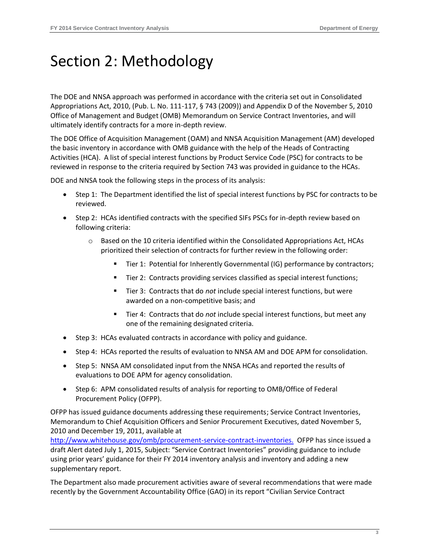# <span id="page-4-0"></span>Section 2: Methodology

The DOE and NNSA approach was performed in accordance with the criteria set out in Consolidated Appropriations Act, 2010, (Pub. L. No. 111-117, § 743 (2009)) and Appendix D of the November 5, 2010 Office of Management and Budget (OMB) Memorandum on Service Contract Inventories, and will ultimately identify contracts for a more in-depth review.

The DOE Office of Acquisition Management (OAM) and NNSA Acquisition Management (AM) developed the basic inventory in accordance with OMB guidance with the help of the Heads of Contracting Activities (HCA). A list of special interest functions by Product Service Code (PSC) for contracts to be reviewed in response to the criteria required by Section 743 was provided in guidance to the HCAs.

DOE and NNSA took the following steps in the process of its analysis:

- Step 1: The Department identified the list of special interest functions by PSC for contracts to be reviewed.
- Step 2: HCAs identified contracts with the specified SIFs PSCs for in-depth review based on following criteria:
	- $\circ$  Based on the 10 criteria identified within the Consolidated Appropriations Act, HCAs prioritized their selection of contracts for further review in the following order:
		- Tier 1: Potential for Inherently Governmental (IG) performance by contractors;
		- Tier 2: Contracts providing services classified as special interest functions;
		- Tier 3: Contracts that do *not* include special interest functions, but were awarded on a non-competitive basis; and
		- Tier 4: Contracts that do *not* include special interest functions, but meet any one of the remaining designated criteria.
- Step 3: HCAs evaluated contracts in accordance with policy and guidance.
- Step 4: HCAs reported the results of evaluation to NNSA AM and DOE APM for consolidation.
- Step 5: NNSA AM consolidated input from the NNSA HCAs and reported the results of evaluations to DOE APM for agency consolidation.
- Step 6: APM consolidated results of analysis for reporting to OMB/Office of Federal Procurement Policy (OFPP).

OFPP has issued guidance documents addressing these requirements; Service Contract Inventories, Memorandum to Chief Acquisition Officers and Senior Procurement Executives, dated November 5, 2010 and December 19, 2011, available at

[http://www.whitehouse.gov/omb/procurement-service-contract-inventories.](http://www.whitehouse.gov/omb/procurement-service-contract-inventories) OFPP has since issued a draft Alert dated July 1, 2015, Subject: "Service Contract Inventories" providing guidance to include using prior years' guidance for their FY 2014 inventory analysis and inventory and adding a new supplementary report.

The Department also made procurement activities aware of several recommendations that were made recently by the Government Accountability Office (GAO) in its report "Civilian Service Contract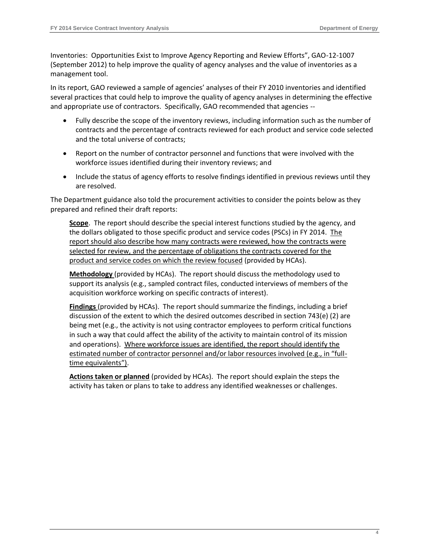Inventories: [Opportunities Exist to Improve Agency Reporting and Review Efforts", GAO](http://www.gao.gov/assets/650/648939.pdf)-12-1007 [\(September 2012\)](http://www.gao.gov/assets/650/648939.pdf) to help improve the quality of agency analyses and the value of inventories as a management tool.

In its report, GAO reviewed a sample of agencies' analyses of their FY 2010 inventories and identified several practices that could help to improve the quality of agency analyses in determining the effective and appropriate use of contractors. Specifically, GAO recommended that agencies --

- Fully describe the scope of the inventory reviews, including information such as the number of contracts and the percentage of contracts reviewed for each product and service code selected and the total universe of contracts;
- Report on the number of contractor personnel and functions that were involved with the workforce issues identified during their inventory reviews; and
- Include the status of agency efforts to resolve findings identified in previous reviews until they are resolved.

The Department guidance also told the procurement activities to consider the points below as they prepared and refined their draft reports:

**Scope**. The report should describe the special interest functions studied by the agency, and the dollars obligated to those specific product and service codes (PSCs) in FY 2014. The report should also describe how many contracts were reviewed, how the contracts were selected for review, and the percentage of obligations the contracts covered for the product and service codes on which the review focused (provided by HCAs).

**Methodology** (provided by HCAs). The report should discuss the methodology used to support its analysis (e.g., sampled contract files, conducted interviews of members of the acquisition workforce working on specific contracts of interest).

**Findings** (provided by HCAs). The report should summarize the findings, including a brief discussion of the extent to which the desired outcomes described in section 743(e) (2) are being met (e.g., the activity is not using contractor employees to perform critical functions in such a way that could affect the ability of the activity to maintain control of its mission and operations). Where workforce issues are identified, the report should identify the estimated number of contractor personnel and/or labor resources involved (e.g., in "fulltime equivalents").

**Actions taken or planned** (provided by HCAs). The report should explain the steps the activity has taken or plans to take to address any identified weaknesses or challenges.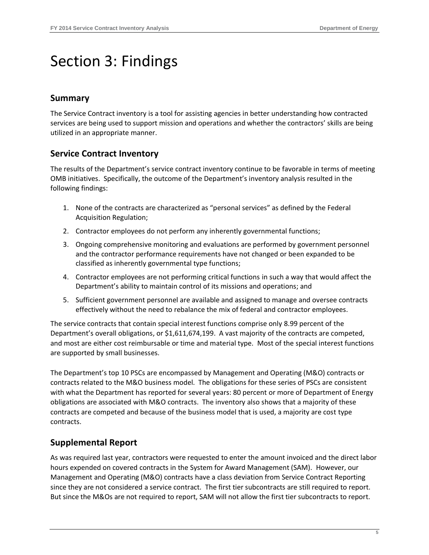# <span id="page-6-0"></span>Section 3: Findings

### **Summary**

The Service Contract inventory is a tool for assisting agencies in better understanding how contracted services are being used to support mission and operations and whether the contractors' skills are being utilized in an appropriate manner.

### **Service Contract Inventory**

The results of the Department's service contract inventory continue to be favorable in terms of meeting OMB initiatives. Specifically, the outcome of the Department's inventory analysis resulted in the following findings:

- 1. None of the contracts are characterized as "personal services" as defined by the Federal Acquisition Regulation;
- 2. Contractor employees do not perform any inherently governmental functions;
- 3. Ongoing comprehensive monitoring and evaluations are performed by government personnel and the contractor performance requirements have not changed or been expanded to be classified as inherently governmental type functions;
- 4. Contractor employees are not performing critical functions in such a way that would affect the Department's ability to maintain control of its missions and operations; and
- 5. Sufficient government personnel are available and assigned to manage and oversee contracts effectively without the need to rebalance the mix of federal and contractor employees.

The service contracts that contain special interest functions comprise only 8.99 percent of the Department's overall obligations, or \$1,611,674,199. A vast majority of the contracts are competed, and most are either cost reimbursable or time and material type. Most of the special interest functions are supported by small businesses.

The Department's top 10 PSCs are encompassed by Management and Operating (M&O) contracts or contracts related to the M&O business model. The obligations for these series of PSCs are consistent with what the Department has reported for several years: 80 percent or more of Department of Energy obligations are associated with M&O contracts. The inventory also shows that a majority of these contracts are competed and because of the business model that is used, a majority are cost type contracts.

### **Supplemental Report**

As was required last year, contractors were requested to enter the amount invoiced and the direct labor hours expended on covered contracts in the System for Award Management (SAM). However, our Management and Operating (M&O) contracts have a class deviation from Service Contract Reporting since they are not considered a service contract. The first tier subcontracts are still required to report. But since the M&Os are not required to report, SAM will not allow the first tier subcontracts to report.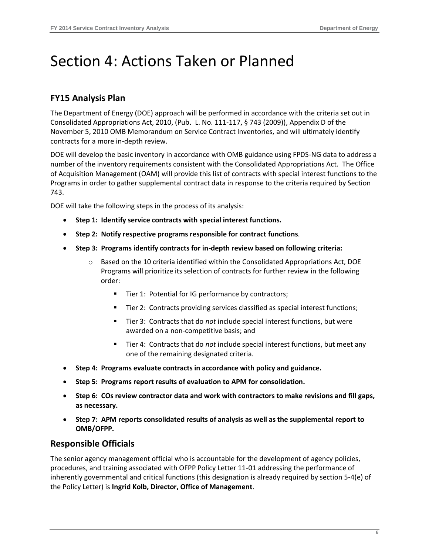## <span id="page-7-0"></span>Section 4: Actions Taken or Planned

### **FY15 Analysis Plan**

The Department of Energy (DOE) approach will be performed in accordance with the criteria set out in Consolidated Appropriations Act, 2010, (Pub. L. No. 111-117, § 743 (2009)), Appendix D of the November 5, 2010 OMB Memorandum on Service Contract Inventories, and will ultimately identify contracts for a more in-depth review.

DOE will develop the basic inventory in accordance with OMB guidance using FPDS-NG data to address a number of the inventory requirements consistent with the Consolidated Appropriations Act. The Office of Acquisition Management (OAM) will provide this list of contracts with special interest functions to the Programs in order to gather supplemental contract data in response to the criteria required by Section 743.

DOE will take the following steps in the process of its analysis:

- **Step 1: Identify service contracts with special interest functions.**
- **Step 2: Notify respective programs responsible for contract functions**.
- **Step 3: Programs identify contracts for in-depth review based on following criteria:**
	- $\circ$  Based on the 10 criteria identified within the Consolidated Appropriations Act, DOE Programs will prioritize its selection of contracts for further review in the following order:
		- Tier 1: Potential for IG performance by contractors;
		- Tier 2: Contracts providing services classified as special interest functions;
		- Tier 3: Contracts that do *not* include special interest functions, but were awarded on a non-competitive basis; and
		- Tier 4: Contracts that do *not* include special interest functions, but meet any one of the remaining designated criteria.
- **Step 4: Programs evaluate contracts in accordance with policy and guidance.**
- **Step 5: Programs report results of evaluation to APM for consolidation.**
- **Step 6: COs review contractor data and work with contractors to make revisions and fill gaps, as necessary.**
- **Step 7: APM reports consolidated results of analysis as well as the supplemental report to OMB/OFPP.**

### **Responsible Officials**

The senior agency management official who is accountable for the development of agency policies, procedures, and training associated with OFPP Policy Letter 11-01 addressing the performance of inherently governmental and critical functions (this designation is already required by section 5-4(e) of the Policy Letter) is **Ingrid Kolb, Director, Office of Management**.